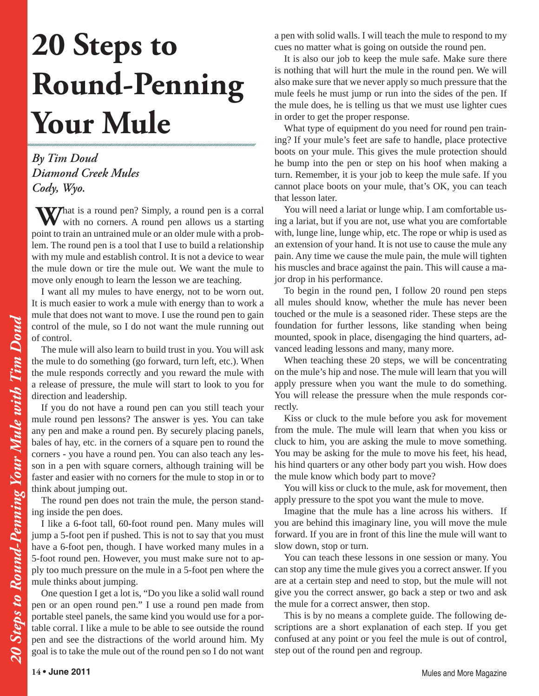## **20 Steps to Round-Penning Your Mule**

*By Tim Doud Diamond Creek Mules Cody, Wyo.*

What is a round pen? Simply, a round pen is a corral with no corners. A round pen allows us a starting point to train an untrained mule or an older mule with a problem. The round pen is a tool that I use to build a relationship with my mule and establish control. It is not a device to wear the mule down or tire the mule out. We want the mule to move only enough to learn the lesson we are teaching.

I want all my mules to have energy, not to be worn out. It is much easier to work a mule with energy than to work a mule that does not want to move. I use the round pen to gain control of the mule, so I do not want the mule running out of control.

The mule will also learn to build trust in you. You will ask the mule to do something (go forward, turn left, etc.). When the mule responds correctly and you reward the mule with a release of pressure, the mule will start to look to you for direction and leadership.

If you do not have a round pen can you still teach your mule round pen lessons? The answer is yes. You can take any pen and make a round pen. By securely placing panels, bales of hay, etc. in the corners of a square pen to round the corners - you have a round pen. You can also teach any lesson in a pen with square corners, although training will be faster and easier with no corners for the mule to stop in or to think about jumping out.

The round pen does not train the mule, the person standing inside the pen does.

I like a 6-foot tall, 60-foot round pen. Many mules will jump a 5-foot pen if pushed. This is not to say that you must have a 6-foot pen, though. I have worked many mules in a 5-foot round pen. However, you must make sure not to apply too much pressure on the mule in a 5-foot pen where the mule thinks about jumping.

One question I get a lot is, "Do you like a solid wall round pen or an open round pen." I use a round pen made from portable steel panels, the same kind you would use for a portable corral. I like a mule to be able to see outside the round pen and see the distractions of the world around him. My goal is to take the mule out of the round pen so I do not want a pen with solid walls. I will teach the mule to respond to my cues no matter what is going on outside the round pen.

It is also our job to keep the mule safe. Make sure there is nothing that will hurt the mule in the round pen. We will also make sure that we never apply so much pressure that the mule feels he must jump or run into the sides of the pen. If the mule does, he is telling us that we must use lighter cues in order to get the proper response.

What type of equipment do you need for round pen training? If your mule's feet are safe to handle, place protective boots on your mule. This gives the mule protection should he bump into the pen or step on his hoof when making a turn. Remember, it is your job to keep the mule safe. If you cannot place boots on your mule, that's OK, you can teach that lesson later.

You will need a lariat or lunge whip. I am comfortable using a lariat, but if you are not, use what you are comfortable with, lunge line, lunge whip, etc. The rope or whip is used as an extension of your hand. It is not use to cause the mule any pain. Any time we cause the mule pain, the mule will tighten his muscles and brace against the pain. This will cause a major drop in his performance.

To begin in the round pen, I follow 20 round pen steps all mules should know, whether the mule has never been touched or the mule is a seasoned rider. These steps are the foundation for further lessons, like standing when being mounted, spook in place, disengaging the hind quarters, advanced leading lessons and many, many more.

When teaching these 20 steps, we will be concentrating on the mule's hip and nose. The mule will learn that you will apply pressure when you want the mule to do something. You will release the pressure when the mule responds correctly.

Kiss or cluck to the mule before you ask for movement from the mule. The mule will learn that when you kiss or cluck to him, you are asking the mule to move something. You may be asking for the mule to move his feet, his head, his hind quarters or any other body part you wish. How does the mule know which body part to move?

You will kiss or cluck to the mule, ask for movement, then apply pressure to the spot you want the mule to move.

Imagine that the mule has a line across his withers. If you are behind this imaginary line, you will move the mule forward. If you are in front of this line the mule will want to slow down, stop or turn.

You can teach these lessons in one session or many. You can stop any time the mule gives you a correct answer. If you are at a certain step and need to stop, but the mule will not give you the correct answer, go back a step or two and ask the mule for a correct answer, then stop.

This is by no means a complete guide. The following descriptions are a short explanation of each step. If you get confused at any point or you feel the mule is out of control, step out of the round pen and regroup.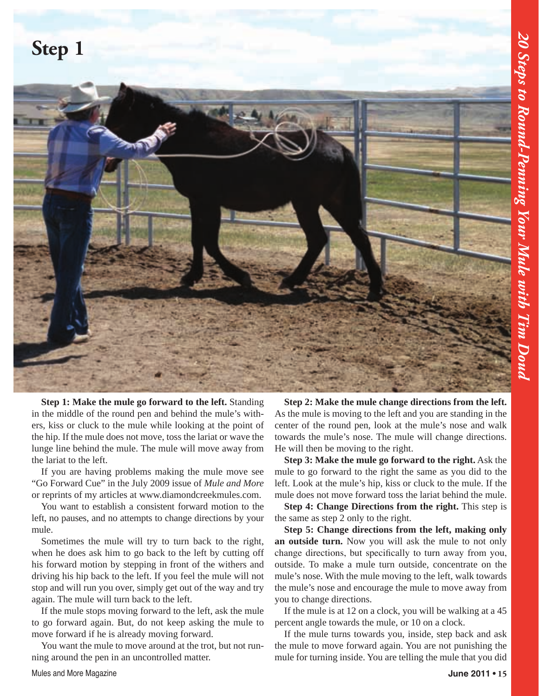## **Step 1**



**Step 1: Make the mule go forward to the left.** Standing in the middle of the round pen and behind the mule's withers, kiss or cluck to the mule while looking at the point of the hip. If the mule does not move, toss the lariat or wave the lunge line behind the mule. The mule will move away from the lariat to the left.

If you are having problems making the mule move see "Go Forward Cue" in the July 2009 issue of *Mule and More*  or reprints of my articles at www.diamondcreekmules.com.

You want to establish a consistent forward motion to the left, no pauses, and no attempts to change directions by your mule.

Sometimes the mule will try to turn back to the right, when he does ask him to go back to the left by cutting off his forward motion by stepping in front of the withers and driving his hip back to the left. If you feel the mule will not stop and will run you over, simply get out of the way and try again. The mule will turn back to the left.

If the mule stops moving forward to the left, ask the mule to go forward again. But, do not keep asking the mule to move forward if he is already moving forward.

You want the mule to move around at the trot, but not running around the pen in an uncontrolled matter.

**Step 2: Make the mule change directions from the left.** As the mule is moving to the left and you are standing in the center of the round pen, look at the mule's nose and walk towards the mule's nose. The mule will change directions. He will then be moving to the right.

**Step 3: Make the mule go forward to the right.** Ask the mule to go forward to the right the same as you did to the left. Look at the mule's hip, kiss or cluck to the mule. If the mule does not move forward toss the lariat behind the mule.

**Step 4: Change Directions from the right.** This step is the same as step 2 only to the right.

**Step 5: Change directions from the left, making only an outside turn.** Now you will ask the mule to not only change directions, but specifically to turn away from you, outside. To make a mule turn outside, concentrate on the mule's nose. With the mule moving to the left, walk towards the mule's nose and encourage the mule to move away from you to change directions.

If the mule is at 12 on a clock, you will be walking at a 45 percent angle towards the mule, or 10 on a clock.

If the mule turns towards you, inside, step back and ask the mule to move forward again. You are not punishing the mule for turning inside. You are telling the mule that you did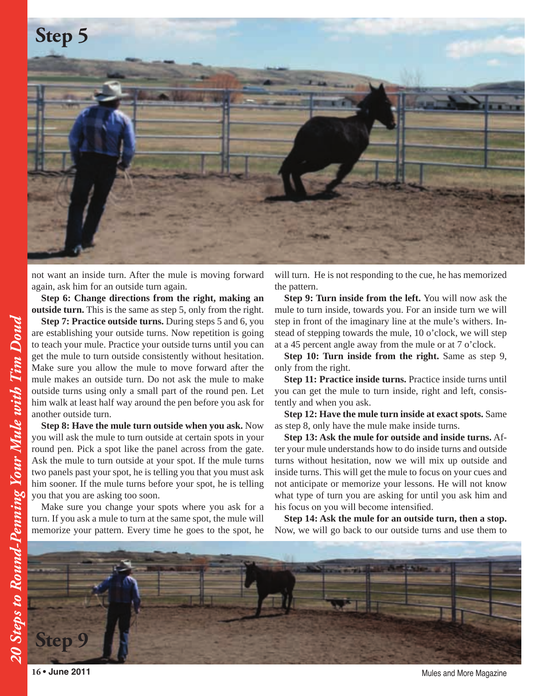

not want an inside turn. After the mule is moving forward again, ask him for an outside turn again.

**Step 6: Change directions from the right, making an outside turn.** This is the same as step 5, only from the right.

**Step 7: Practice outside turns.** During steps 5 and 6, you are establishing your outside turns. Now repetition is going to teach your mule. Practice your outside turns until you can get the mule to turn outside consistently without hesitation. Make sure you allow the mule to move forward after the mule makes an outside turn. Do not ask the mule to make outside turns using only a small part of the round pen. Let him walk at least half way around the pen before you ask for another outside turn.

**Step 8: Have the mule turn outside when you ask.** Now you will ask the mule to turn outside at certain spots in your round pen. Pick a spot like the panel across from the gate. Ask the mule to turn outside at your spot. If the mule turns two panels past your spot, he is telling you that you must ask him sooner. If the mule turns before your spot, he is telling you that you are asking too soon.

Make sure you change your spots where you ask for a turn. If you ask a mule to turn at the same spot, the mule will memorize your pattern. Every time he goes to the spot, he will turn. He is not responding to the cue, he has memorized the pattern.

**Step 9: Turn inside from the left.** You will now ask the mule to turn inside, towards you. For an inside turn we will step in front of the imaginary line at the mule's withers. Instead of stepping towards the mule, 10 o'clock, we will step at a 45 percent angle away from the mule or at 7 o'clock.

**Step 10: Turn inside from the right.** Same as step 9, only from the right.

**Step 11: Practice inside turns.** Practice inside turns until you can get the mule to turn inside, right and left, consistently and when you ask.

**Step 12: Have the mule turn inside at exact spots.** Same as step 8, only have the mule make inside turns.

**Step 13: Ask the mule for outside and inside turns.** After your mule understands how to do inside turns and outside turns without hesitation, now we will mix up outside and inside turns. This will get the mule to focus on your cues and not anticipate or memorize your lessons. He will not know what type of turn you are asking for until you ask him and his focus on you will become intensified.

**Step 14: Ask the mule for an outside turn, then a stop.** Now, we will go back to our outside turns and use them to



**16 • June 2011** Mules and More Magazine